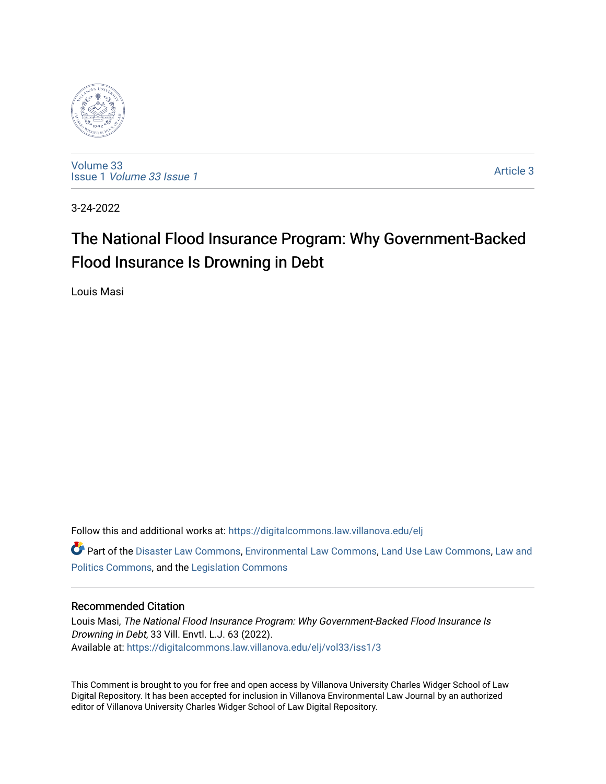

[Volume 33](https://digitalcommons.law.villanova.edu/elj/vol33) Issue 1 [Volume 33 Issue 1](https://digitalcommons.law.villanova.edu/elj/vol33/iss1) 

[Article 3](https://digitalcommons.law.villanova.edu/elj/vol33/iss1/3) 

3-24-2022

# The National Flood Insurance Program: Why Government-Backed Flood Insurance Is Drowning in Debt

Louis Masi

Follow this and additional works at: [https://digitalcommons.law.villanova.edu/elj](https://digitalcommons.law.villanova.edu/elj?utm_source=digitalcommons.law.villanova.edu%2Felj%2Fvol33%2Fiss1%2F3&utm_medium=PDF&utm_campaign=PDFCoverPages) 

Part of the [Disaster Law Commons](http://network.bepress.com/hgg/discipline/1348?utm_source=digitalcommons.law.villanova.edu%2Felj%2Fvol33%2Fiss1%2F3&utm_medium=PDF&utm_campaign=PDFCoverPages), [Environmental Law Commons,](http://network.bepress.com/hgg/discipline/599?utm_source=digitalcommons.law.villanova.edu%2Felj%2Fvol33%2Fiss1%2F3&utm_medium=PDF&utm_campaign=PDFCoverPages) [Land Use Law Commons](http://network.bepress.com/hgg/discipline/852?utm_source=digitalcommons.law.villanova.edu%2Felj%2Fvol33%2Fiss1%2F3&utm_medium=PDF&utm_campaign=PDFCoverPages), [Law and](http://network.bepress.com/hgg/discipline/867?utm_source=digitalcommons.law.villanova.edu%2Felj%2Fvol33%2Fiss1%2F3&utm_medium=PDF&utm_campaign=PDFCoverPages)  [Politics Commons](http://network.bepress.com/hgg/discipline/867?utm_source=digitalcommons.law.villanova.edu%2Felj%2Fvol33%2Fiss1%2F3&utm_medium=PDF&utm_campaign=PDFCoverPages), and the [Legislation Commons](http://network.bepress.com/hgg/discipline/859?utm_source=digitalcommons.law.villanova.edu%2Felj%2Fvol33%2Fiss1%2F3&utm_medium=PDF&utm_campaign=PDFCoverPages) 

## Recommended Citation

Louis Masi, The National Flood Insurance Program: Why Government-Backed Flood Insurance Is Drowning in Debt, 33 Vill. Envtl. L.J. 63 (2022). Available at: [https://digitalcommons.law.villanova.edu/elj/vol33/iss1/3](https://digitalcommons.law.villanova.edu/elj/vol33/iss1/3?utm_source=digitalcommons.law.villanova.edu%2Felj%2Fvol33%2Fiss1%2F3&utm_medium=PDF&utm_campaign=PDFCoverPages)

This Comment is brought to you for free and open access by Villanova University Charles Widger School of Law Digital Repository. It has been accepted for inclusion in Villanova Environmental Law Journal by an authorized editor of Villanova University Charles Widger School of Law Digital Repository.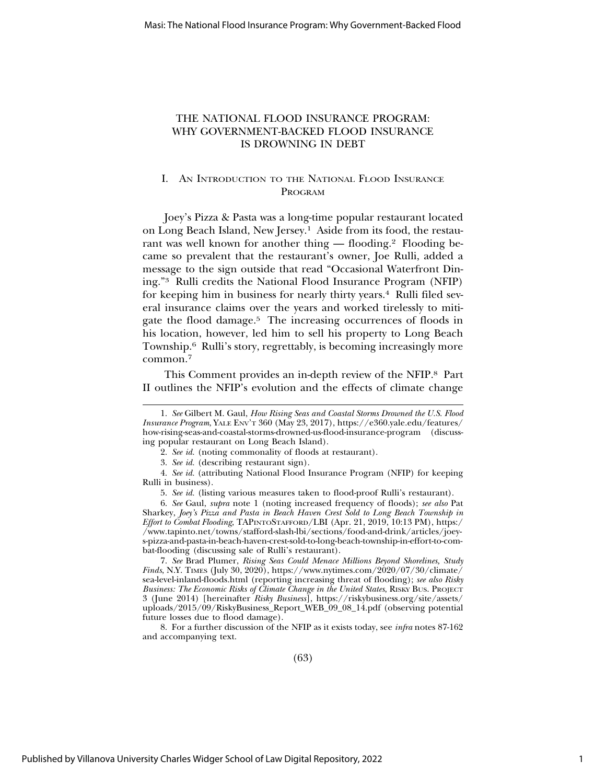## THE NATIONAL FLOOD INSURANCE PROGRAM: WHY GOVERNMENT-BACKED FLOOD INSURANCE IS DROWNING IN DEBT

## I. AN INTRODUCTION TO THE NATIONAL FLOOD INSURANCE PROGRAM

Joey's Pizza & Pasta was a long-time popular restaurant located on Long Beach Island, New Jersey.1 Aside from its food, the restaurant was well known for another thing — flooding.<sup>2</sup> Flooding became so prevalent that the restaurant's owner, Joe Rulli, added a message to the sign outside that read "Occasional Waterfront Dining."3 Rulli credits the National Flood Insurance Program (NFIP) for keeping him in business for nearly thirty years.4 Rulli filed several insurance claims over the years and worked tirelessly to mitigate the flood damage.5 The increasing occurrences of floods in his location, however, led him to sell his property to Long Beach Township.6 Rulli's story, regrettably, is becoming increasingly more common.7

This Comment provides an in-depth review of the NFIP.8 Part II outlines the NFIP's evolution and the effects of climate change

7. *See* Brad Plumer, *Rising Seas Could Menace Millions Beyond Shorelines, Study Finds*, N.Y. TIMES (July 30, 2020), https://www.nytimes.com/2020/07/30/climate/ sea-level-inland-floods.html (reporting increasing threat of flooding); *see also Risky Business: The Economic Risks of Climate Change in the United States*, RISKY BUS. PROJECT 3 (June 2014) [hereinafter *Risky Business*], https://riskybusiness.org/site/assets/ uploads/2015/09/RiskyBusiness\_Report\_WEB\_09\_08\_14.pdf (observing potential future losses due to flood damage).

8. For a further discussion of the NFIP as it exists today, see *infra* notes 87-162 and accompanying text.

(63)

<sup>1.</sup> *See* Gilbert M. Gaul, *How Rising Seas and Coastal Storms Drowned the U.S. Flood Insurance Program*, YALE ENV'T 360 (May 23, 2017), https://e360.yale.edu/features/ how-rising-seas-and-coastal-storms-drowned-us-flood-insurance-program (discussing popular restaurant on Long Beach Island).

<sup>2.</sup> *See id.* (noting commonality of floods at restaurant).

<sup>3.</sup> *See id.* (describing restaurant sign).

<sup>4.</sup> *See id.* (attributing National Flood Insurance Program (NFIP) for keeping Rulli in business).

<sup>5.</sup> *See id.* (listing various measures taken to flood-proof Rulli's restaurant).

<sup>6.</sup> *See* Gaul, *supra* note 1 (noting increased frequency of floods); *see also* Pat Sharkey, *Joey's Pizza and Pasta in Beach Haven Crest Sold to Long Beach Township in Effort to Combat Flooding*, TAPINTOSTAFFORD/LBI (Apr. 21, 2019, 10:13 PM), https:/ /www.tapinto.net/towns/stafford-slash-lbi/sections/food-and-drink/articles/joeys-pizza-and-pasta-in-beach-haven-crest-sold-to-long-beach-township-in-effort-to-combat-flooding (discussing sale of Rulli's restaurant).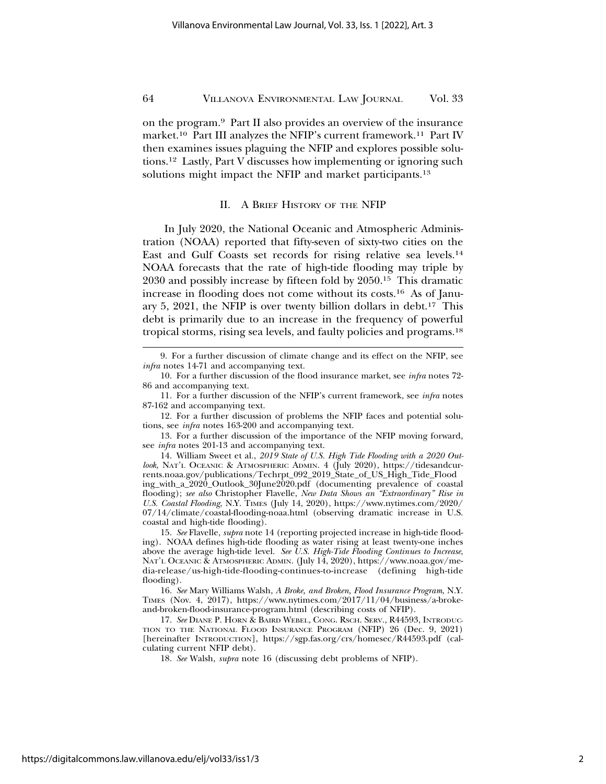on the program.9 Part II also provides an overview of the insurance market.10 Part III analyzes the NFIP's current framework.11 Part IV then examines issues plaguing the NFIP and explores possible solutions.12 Lastly, Part V discusses how implementing or ignoring such solutions might impact the NFIP and market participants.<sup>13</sup>

#### II. A BRIEF HISTORY OF THE NFIP

In July 2020, the National Oceanic and Atmospheric Administration (NOAA) reported that fifty-seven of sixty-two cities on the East and Gulf Coasts set records for rising relative sea levels.14 NOAA forecasts that the rate of high-tide flooding may triple by 2030 and possibly increase by fifteen fold by 2050.15 This dramatic increase in flooding does not come without its costs.16 As of January 5, 2021, the NFIP is over twenty billion dollars in debt.<sup>17</sup> This debt is primarily due to an increase in the frequency of powerful tropical storms, rising sea levels, and faulty policies and programs.18

12. For a further discussion of problems the NFIP faces and potential solutions, see *infra* notes 163-200 and accompanying text.

13. For a further discussion of the importance of the NFIP moving forward, see *infra* notes 201-13 and accompanying text.

14. William Sweet et al., *2019 State of U.S. High Tide Flooding with a 2020 Outlook*, NAT'L OCEANIC & ATMOSPHERIC ADMIN. 4 (July 2020), https://tidesandcurrents.noaa.gov/publications/Techrpt\_092\_2019\_State\_of\_US\_High\_Tide\_Flood ing\_with\_a\_2020\_Outlook\_30June2020.pdf (documenting prevalence of coastal flooding); *see also* Christopher Flavelle, *New Data Shows an "Extraordinary" Rise in U.S. Coastal Flooding*, N.Y. TIMES (July 14, 2020), https://www.nytimes.com/2020/ 07/14/climate/coastal-flooding-noaa.html (observing dramatic increase in U.S. coastal and high-tide flooding).

15. *See* Flavelle, *supra* note 14 (reporting projected increase in high-tide flooding). NOAA defines high-tide flooding as water rising at least twenty-one inches above the average high-tide level. *See U.S. High-Tide Flooding Continues to Increase*, NAT'L OCEANIC & ATMOSPHERIC ADMIN. (July 14, 2020), https://www.noaa.gov/media-release/us-high-tide-flooding-continues-to-increase (defining high-tide flooding).

16. *See* Mary Williams Walsh, *A Broke, and Broken, Flood Insurance Program*, N.Y. TIMES (Nov. 4, 2017), https://www.nytimes.com/2017/11/04/business/a-brokeand-broken-flood-insurance-program.html (describing costs of NFIP).

17. *See* DIANE P. HORN & BAIRD WEBEL, CONG. RSCH. SERV., R44593, INTRODUC-TION TO THE NATIONAL FLOOD INSURANCE PROGRAM (NFIP) 26 (Dec. 9, 2021) [hereinafter INTRODUCTION], https://sgp.fas.org/crs/homesec/R44593.pdf (calculating current NFIP debt).

18. *See* Walsh, *supra* note 16 (discussing debt problems of NFIP).

<sup>9.</sup> For a further discussion of climate change and its effect on the NFIP, see *infra* notes 14-71 and accompanying text.

<sup>10.</sup> For a further discussion of the flood insurance market, see *infra* notes 72- 86 and accompanying text.

<sup>11.</sup> For a further discussion of the NFIP's current framework, see *infra* notes 87-162 and accompanying text.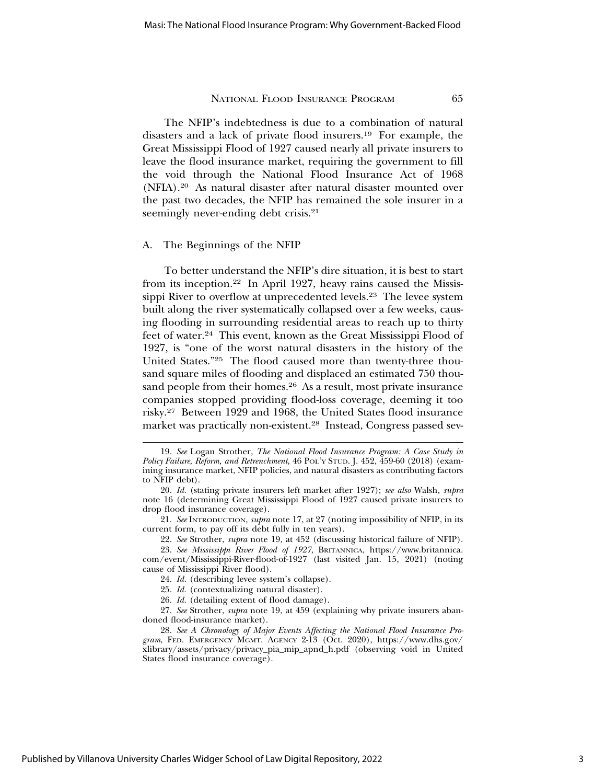The NFIP's indebtedness is due to a combination of natural disasters and a lack of private flood insurers.19 For example, the Great Mississippi Flood of 1927 caused nearly all private insurers to leave the flood insurance market, requiring the government to fill the void through the National Flood Insurance Act of 1968 (NFIA).20 As natural disaster after natural disaster mounted over the past two decades, the NFIP has remained the sole insurer in a seemingly never-ending debt crisis.<sup>21</sup>

#### A. The Beginnings of the NFIP

To better understand the NFIP's dire situation, it is best to start from its inception.22 In April 1927, heavy rains caused the Mississippi River to overflow at unprecedented levels.23 The levee system built along the river systematically collapsed over a few weeks, causing flooding in surrounding residential areas to reach up to thirty feet of water.24 This event, known as the Great Mississippi Flood of 1927, is "one of the worst natural disasters in the history of the United States."25 The flood caused more than twenty-three thousand square miles of flooding and displaced an estimated 750 thousand people from their homes.<sup>26</sup> As a result, most private insurance companies stopped providing flood-loss coverage, deeming it too risky.27 Between 1929 and 1968, the United States flood insurance market was practically non-existent.28 Instead, Congress passed sev-

21. *See* INTRODUCTION, *supra* note 17, at 27 (noting impossibility of NFIP, in its current form, to pay off its debt fully in ten years).

22. *See* Strother, *supra* note 19, at 452 (discussing historical failure of NFIP).

23. *See Mississippi River Flood of 1927*, BRITANNICA, https://www.britannica. com/event/Mississippi-River-flood-of-1927 (last visited Jan. 15, 2021) (noting cause of Mississippi River flood).

24. *Id.* (describing levee system's collapse).

26. *Id.* (detailing extent of flood damage).

27. *See* Strother, *supra* note 19, at 459 (explaining why private insurers abandoned flood-insurance market).

28. *See A Chronology of Major Events Affecting the National Flood Insurance Program*, FED. EMERGENCY MGMT. AGENCY 2-13 (Oct. 2020), https://www.dhs.gov/ xlibrary/assets/privacy/privacy\_pia\_mip\_apnd\_h.pdf (observing void in United States flood insurance coverage).

<sup>19.</sup> *See* Logan Strother, *The National Flood Insurance Program: A Case Study in Policy Failure, Reform, and Retrenchment*, 46 POL'Y STUD. J. 452, 459-60 (2018) (examining insurance market, NFIP policies, and natural disasters as contributing factors to NFIP debt).

<sup>20.</sup> *Id.* (stating private insurers left market after 1927); *see also* Walsh, *supra* note 16 (determining Great Mississippi Flood of 1927 caused private insurers to drop flood insurance coverage).

<sup>25.</sup> *Id.* (contextualizing natural disaster).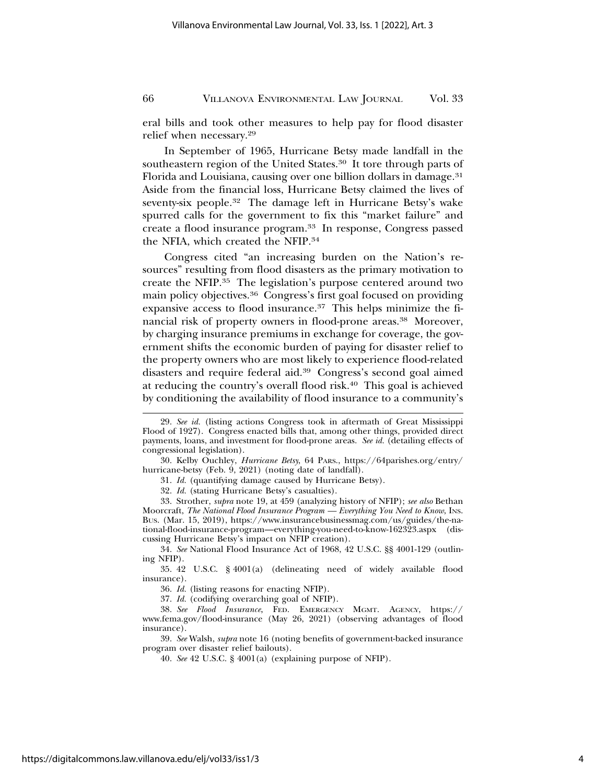eral bills and took other measures to help pay for flood disaster relief when necessary.29

In September of 1965, Hurricane Betsy made landfall in the southeastern region of the United States.30 It tore through parts of Florida and Louisiana, causing over one billion dollars in damage.31 Aside from the financial loss, Hurricane Betsy claimed the lives of seventy-six people.32 The damage left in Hurricane Betsy's wake spurred calls for the government to fix this "market failure" and create a flood insurance program.33 In response, Congress passed the NFIA, which created the NFIP.34

Congress cited "an increasing burden on the Nation's resources" resulting from flood disasters as the primary motivation to create the NFIP.35 The legislation's purpose centered around two main policy objectives.36 Congress's first goal focused on providing expansive access to flood insurance.37 This helps minimize the financial risk of property owners in flood-prone areas.38 Moreover, by charging insurance premiums in exchange for coverage, the government shifts the economic burden of paying for disaster relief to the property owners who are most likely to experience flood-related disasters and require federal aid.39 Congress's second goal aimed at reducing the country's overall flood risk.40 This goal is achieved by conditioning the availability of flood insurance to a community's

<sup>29.</sup> *See id.* (listing actions Congress took in aftermath of Great Mississippi Flood of 1927). Congress enacted bills that, among other things, provided direct payments, loans, and investment for flood-prone areas. *See id.* (detailing effects of congressional legislation).

<sup>30.</sup> Kelby Ouchley, *Hurricane Betsy*, 64 PARS., https://64parishes.org/entry/ hurricane-betsy (Feb. 9, 2021) (noting date of landfall).

<sup>31.</sup> *Id.* (quantifying damage caused by Hurricane Betsy).

<sup>32.</sup> *Id.* (stating Hurricane Betsy's casualties).

<sup>33.</sup> Strother, *supra* note 19, at 459 (analyzing history of NFIP); *see also* Bethan Moorcraft, *The National Flood Insurance Program — Everything You Need to Know*, INS. BUS. (Mar. 15, 2019), https://www.insurancebusinessmag.com/us/guides/the-national-flood-insurance-program—everything-you-need-to-know-162323.aspx (discussing Hurricane Betsy's impact on NFIP creation).

<sup>34.</sup> *See* National Flood Insurance Act of 1968, 42 U.S.C. §§ 4001-129 (outlining NFIP).

<sup>35. 42</sup> U.S.C. § 4001(a) (delineating need of widely available flood insurance).

<sup>36.</sup> *Id.* (listing reasons for enacting NFIP).

<sup>37.</sup> *Id.* (codifying overarching goal of NFIP).

<sup>38.</sup> *See Flood Insurance*, FED. EMERGENCY MGMT. AGENCY, https:// www.fema.gov/flood-insurance (May 26, 2021) (observing advantages of flood insurance).

<sup>39.</sup> *See* Walsh, *supra* note 16 (noting benefits of government-backed insurance program over disaster relief bailouts).

<sup>40.</sup> *See* 42 U.S.C. § 4001(a) (explaining purpose of NFIP).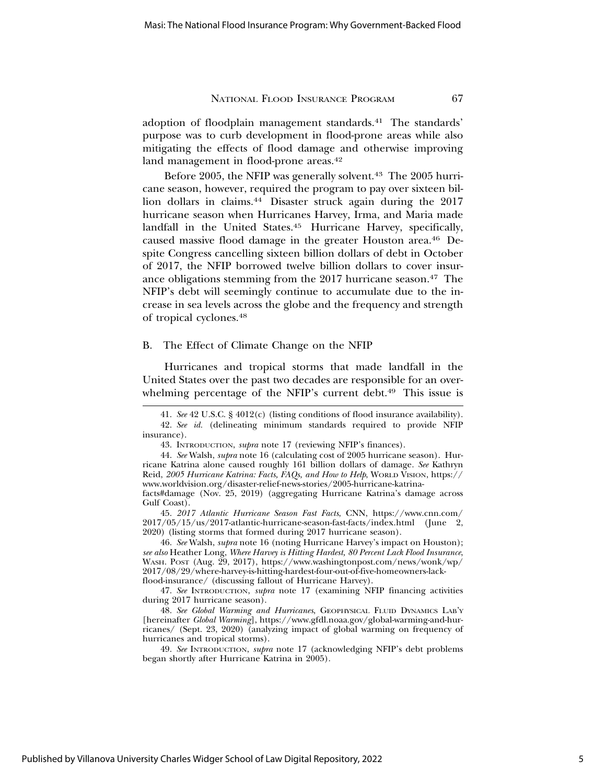adoption of floodplain management standards.<sup>41</sup> The standards' purpose was to curb development in flood-prone areas while also mitigating the effects of flood damage and otherwise improving land management in flood-prone areas.<sup>42</sup>

Before 2005, the NFIP was generally solvent.<sup>43</sup> The 2005 hurricane season, however, required the program to pay over sixteen billion dollars in claims.<sup>44</sup> Disaster struck again during the 2017 hurricane season when Hurricanes Harvey, Irma, and Maria made landfall in the United States.<sup>45</sup> Hurricane Harvey, specifically, caused massive flood damage in the greater Houston area.46 Despite Congress cancelling sixteen billion dollars of debt in October of 2017, the NFIP borrowed twelve billion dollars to cover insurance obligations stemming from the 2017 hurricane season.47 The NFIP's debt will seemingly continue to accumulate due to the increase in sea levels across the globe and the frequency and strength of tropical cyclones.48

#### B. The Effect of Climate Change on the NFIP

Hurricanes and tropical storms that made landfall in the United States over the past two decades are responsible for an overwhelming percentage of the NFIP's current debt.<sup>49</sup> This issue is

45. *2017 Atlantic Hurricane Season Fast Facts*, CNN, https://www.cnn.com/ 2017/05/15/us/2017-atlantic-hurricane-season-fast-facts/index.html (June 2, 2020) (listing storms that formed during 2017 hurricane season).

46. *See* Walsh, *supra* note 16 (noting Hurricane Harvey's impact on Houston); *see also* Heather Long, *Where Harvey is Hitting Hardest, 80 Percent Lack Flood Insurance*, WASH. POST (Aug. 29, 2017), https://www.washingtonpost.com/news/wonk/wp/ 2017/08/29/where-harvey-is-hitting-hardest-four-out-of-five-homeowners-lackflood-insurance/ (discussing fallout of Hurricane Harvey).

47. *See* INTRODUCTION, *supra* note 17 (examining NFIP financing activities during 2017 hurricane season).

48. *See Global Warming and Hurricanes*, GEOPHYSICAL FLUID DYNAMICS LAB'Y [hereinafter *Global Warming*], https://www.gfdl.noaa.gov/global-warming-and-hurricanes/ (Sept. 23, 2020) (analyzing impact of global warming on frequency of hurricanes and tropical storms).

49. *See* INTRODUCTION, *supra* note 17 (acknowledging NFIP's debt problems began shortly after Hurricane Katrina in 2005).

<sup>41.</sup> *See* 42 U.S.C. § 4012(c) (listing conditions of flood insurance availability). 42. *See id.* (delineating minimum standards required to provide NFIP insurance).

<sup>43.</sup> INTRODUCTION, *supra* note 17 (reviewing NFIP's finances).

<sup>44.</sup> *See* Walsh, *supra* note 16 (calculating cost of 2005 hurricane season). Hurricane Katrina alone caused roughly 161 billion dollars of damage. *See* Kathryn Reid, *2005 Hurricane Katrina: Facts, FAQs, and How to Help*, WORLD VISION, https:// www.worldvision.org/disaster-relief-news-stories/2005-hurricane-katrina-

facts#damage (Nov. 25, 2019) (aggregating Hurricane Katrina's damage across Gulf Coast).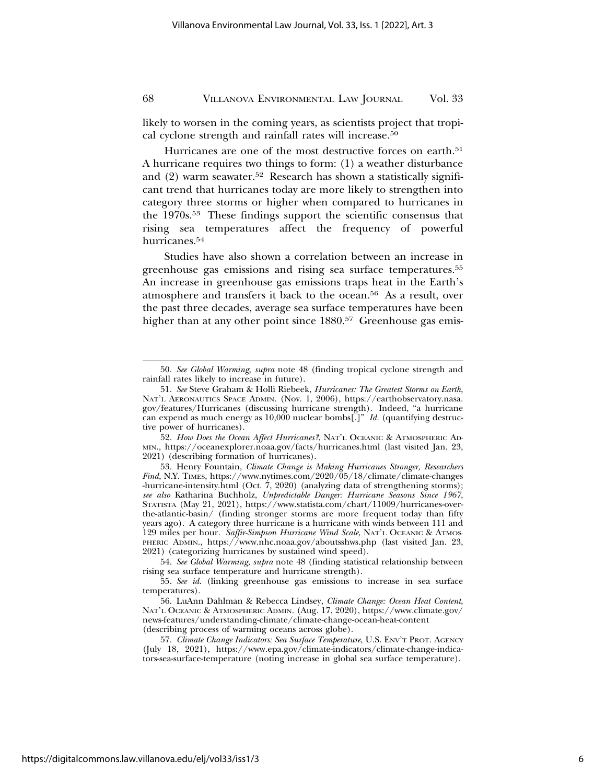likely to worsen in the coming years, as scientists project that tropical cyclone strength and rainfall rates will increase.50

Hurricanes are one of the most destructive forces on earth.<sup>51</sup> A hurricane requires two things to form: (1) a weather disturbance and  $(2)$  warm seawater.<sup>52</sup> Research has shown a statistically significant trend that hurricanes today are more likely to strengthen into category three storms or higher when compared to hurricanes in the 1970s.53 These findings support the scientific consensus that rising sea temperatures affect the frequency of powerful hurricanes.<sup>54</sup>

Studies have also shown a correlation between an increase in greenhouse gas emissions and rising sea surface temperatures.55 An increase in greenhouse gas emissions traps heat in the Earth's atmosphere and transfers it back to the ocean.56 As a result, over the past three decades, average sea surface temperatures have been higher than at any other point since 1880.<sup>57</sup> Greenhouse gas emis-

<sup>50.</sup> *See Global Warming*, *supra* note 48 (finding tropical cyclone strength and rainfall rates likely to increase in future).

<sup>51.</sup> *See* Steve Graham & Holli Riebeek, *Hurricanes: The Greatest Storms on Earth*, NAT'L AERONAUTICS SPACE ADMIN. (Nov. 1, 2006), https://earthobservatory.nasa. gov/features/Hurricanes (discussing hurricane strength). Indeed, "a hurricane can expend as much energy as 10,000 nuclear bombs[.]" *Id.* (quantifying destructive power of hurricanes).

<sup>52.</sup> *How Does the Ocean Affect Hurricanes?*, NAT'L OCEANIC & ATMOSPHERIC AD-MIN., https://oceanexplorer.noaa.gov/facts/hurricanes.html (last visited Jan. 23, 2021) (describing formation of hurricanes).

<sup>53.</sup> Henry Fountain, *Climate Change is Making Hurricanes Stronger, Researchers Find*, N.Y. TIMES, https://www.nytimes.com/2020/05/18/climate/climate-changes -hurricane-intensity.html (Oct. 7, 2020) (analyzing data of strengthening storms); *see also* Katharina Buchholz, *Unpredictable Danger: Hurricane Seasons Since 1967*, STATISTA (May 21, 2021), https://www.statista.com/chart/11009/hurricanes-overthe-atlantic-basin/ (finding stronger storms are more frequent today than fifty years ago). A category three hurricane is a hurricane with winds between 111 and 129 miles per hour. *Saffir-Simpson Hurricane Wind Scale*, NAT'L OCEANIC & ATMOS-PHERIC ADMIN., https://www.nhc.noaa.gov/aboutsshws.php (last visited Jan. 23, 2021) (categorizing hurricanes by sustained wind speed).

<sup>54.</sup> *See Global Warming*, *supra* note 48 (finding statistical relationship between rising sea surface temperature and hurricane strength).

<sup>55.</sup> *See id.* (linking greenhouse gas emissions to increase in sea surface temperatures).

<sup>56.</sup> LuAnn Dahlman & Rebecca Lindsey, *Climate Change: Ocean Heat Content*, NAT'L OCEANIC & ATMOSPHERIC ADMIN. (Aug. 17, 2020), https://www.climate.gov/ news-features/understanding-climate/climate-change-ocean-heat-content (describing process of warming oceans across globe).

<sup>57.</sup> *Climate Change Indicators: Sea Surface Temperature*, U.S. ENV'T PROT. AGENCY (July 18, 2021), https://www.epa.gov/climate-indicators/climate-change-indicators-sea-surface-temperature (noting increase in global sea surface temperature).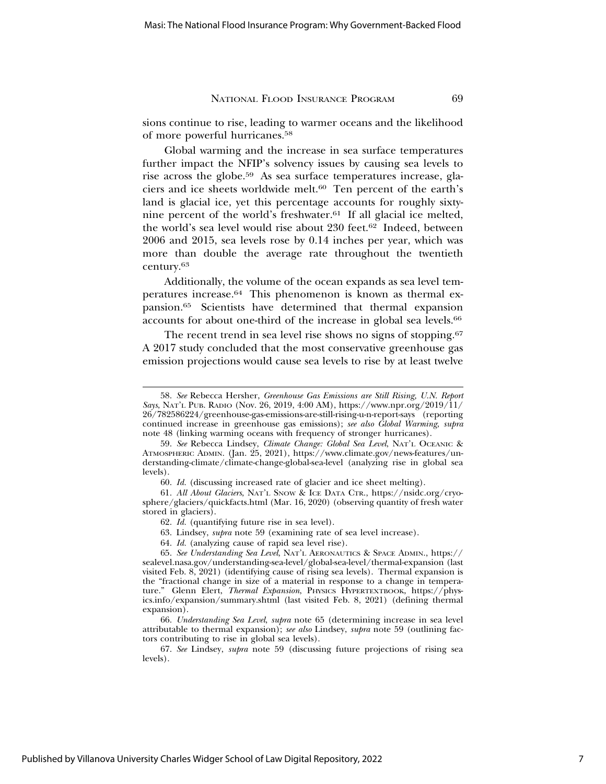sions continue to rise, leading to warmer oceans and the likelihood of more powerful hurricanes.58

Global warming and the increase in sea surface temperatures further impact the NFIP's solvency issues by causing sea levels to rise across the globe.59 As sea surface temperatures increase, glaciers and ice sheets worldwide melt.<sup>60</sup> Ten percent of the earth's land is glacial ice, yet this percentage accounts for roughly sixtynine percent of the world's freshwater. $61$  If all glacial ice melted, the world's sea level would rise about 230 feet.<sup>62</sup> Indeed, between 2006 and 2015, sea levels rose by 0.14 inches per year, which was more than double the average rate throughout the twentieth century.63

Additionally, the volume of the ocean expands as sea level temperatures increase.64 This phenomenon is known as thermal expansion.65 Scientists have determined that thermal expansion accounts for about one-third of the increase in global sea levels.<sup>66</sup>

The recent trend in sea level rise shows no signs of stopping.<sup>67</sup> A 2017 study concluded that the most conservative greenhouse gas emission projections would cause sea levels to rise by at least twelve

<sup>58.</sup> *See* Rebecca Hersher, *Greenhouse Gas Emissions are Still Rising, U.N. Report Says*, NAT'L PUB. RADIO (Nov. 26, 2019, 4:00 AM), https://www.npr.org/2019/11/ 26/782586224/greenhouse-gas-emissions-are-still-rising-u-n-report-says (reporting continued increase in greenhouse gas emissions); *see also Global Warming*, *supra* note 48 (linking warming oceans with frequency of stronger hurricanes).

<sup>59.</sup> *See* Rebecca Lindsey, *Climate Change: Global Sea Level*, NAT'L OCEANIC & ATMOSPHERIC ADMIN. (Jan. 25, 2021), https://www.climate.gov/news-features/understanding-climate/climate-change-global-sea-level (analyzing rise in global sea levels).

<sup>60.</sup> *Id.* (discussing increased rate of glacier and ice sheet melting).

<sup>61.</sup> *All About Glaciers*, NAT'L SNOW & ICE DATA CTR., https://nsidc.org/cryosphere/glaciers/quickfacts.html (Mar. 16, 2020) (observing quantity of fresh water stored in glaciers).

<sup>62.</sup> *Id.* (quantifying future rise in sea level).

<sup>63.</sup> Lindsey, *supra* note 59 (examining rate of sea level increase).

<sup>64.</sup> *Id.* (analyzing cause of rapid sea level rise).

<sup>65.</sup> *See Understanding Sea Level*, NAT'L AERONAUTICS & SPACE ADMIN., https:// sealevel.nasa.gov/understanding-sea-level/global-sea-level/thermal-expansion (last visited Feb.  $8, 2021$ ) (identifying cause of rising sea levels). Thermal expansion is the "fractional change in size of a material in response to a change in temperature." Glenn Elert, *Thermal Expansion*, PHYSICS HYPERTEXTBOOK, https://physics.info/expansion/summary.shtml (last visited Feb. 8, 2021) (defining thermal expansion).

<sup>66.</sup> *Understanding Sea Level*, *supra* note 65 (determining increase in sea level attributable to thermal expansion); *see also* Lindsey, *supra* note 59 (outlining factors contributing to rise in global sea levels).

<sup>67.</sup> *See* Lindsey, *supra* note 59 (discussing future projections of rising sea levels).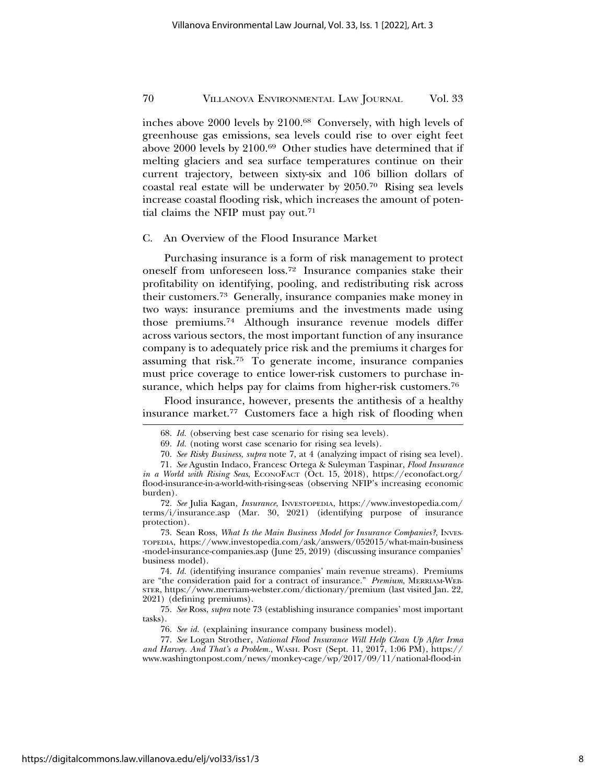inches above 2000 levels by 2100.68 Conversely, with high levels of greenhouse gas emissions, sea levels could rise to over eight feet above 2000 levels by 2100.69 Other studies have determined that if melting glaciers and sea surface temperatures continue on their current trajectory, between sixty-six and 106 billion dollars of coastal real estate will be underwater by 2050.70 Rising sea levels increase coastal flooding risk, which increases the amount of potential claims the NFIP must pay out.71

## C. An Overview of the Flood Insurance Market

Purchasing insurance is a form of risk management to protect oneself from unforeseen loss.72 Insurance companies stake their profitability on identifying, pooling, and redistributing risk across their customers.73 Generally, insurance companies make money in two ways: insurance premiums and the investments made using those premiums.74 Although insurance revenue models differ across various sectors, the most important function of any insurance company is to adequately price risk and the premiums it charges for assuming that risk.75 To generate income, insurance companies must price coverage to entice lower-risk customers to purchase insurance, which helps pay for claims from higher-risk customers.<sup>76</sup>

Flood insurance, however, presents the antithesis of a healthy insurance market.77 Customers face a high risk of flooding when

<sup>68.</sup> *Id.* (observing best case scenario for rising sea levels).

<sup>69.</sup> *Id.* (noting worst case scenario for rising sea levels).

<sup>70.</sup> *See Risky Business*, *supra* note 7, at 4 (analyzing impact of rising sea level).

<sup>71.</sup> *See* Agustin Indaco, Francesc Ortega & Suleyman Taspinar, *Flood Insurance in a World with Rising Seas*, ECONOFACT (Oct. 15, 2018), https://econofact.org/ flood-insurance-in-a-world-with-rising-seas (observing NFIP's increasing economic burden).

<sup>72.</sup> *See* Julia Kagan, *Insurance*, INVESTOPEDIA, https://www.investopedia.com/ terms/i/insurance.asp (Mar. 30, 2021) (identifying purpose of insurance protection).

<sup>73.</sup> Sean Ross, *What Is the Main Business Model for Insurance Companies?*, INVES-TOPEDIA, https://www.investopedia.com/ask/answers/052015/what-main-business -model-insurance-companies.asp (June 25, 2019) (discussing insurance companies' business model).

<sup>74.</sup> *Id.* (identifying insurance companies' main revenue streams). Premiums are "the consideration paid for a contract of insurance." *Premium*, MERRIAM-WEB-STER, https://www.merriam-webster.com/dictionary/premium (last visited Jan. 22, 2021) (defining premiums).

<sup>75.</sup> *See* Ross, *supra* note 73 (establishing insurance companies' most important tasks).

<sup>76.</sup> *See id.* (explaining insurance company business model).

<sup>77.</sup> *See* Logan Strother, *National Flood Insurance Will Help Clean Up After Irma and Harvey. And That's a Problem.*, WASH. POST (Sept. 11, 2017, 1:06 PM), https:// www.washingtonpost.com/news/monkey-cage/wp/2017/09/11/national-flood-in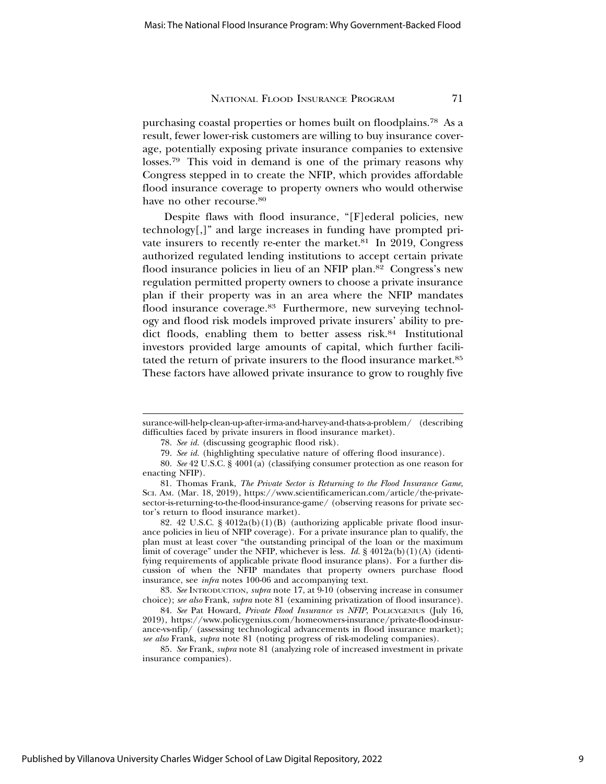purchasing coastal properties or homes built on floodplains.78 As a result, fewer lower-risk customers are willing to buy insurance coverage, potentially exposing private insurance companies to extensive losses.79 This void in demand is one of the primary reasons why Congress stepped in to create the NFIP, which provides affordable flood insurance coverage to property owners who would otherwise have no other recourse.<sup>80</sup>

Despite flaws with flood insurance, "[F]ederal policies, new technology[,]" and large increases in funding have prompted private insurers to recently re-enter the market.81 In 2019, Congress authorized regulated lending institutions to accept certain private flood insurance policies in lieu of an NFIP plan.<sup>82</sup> Congress's new regulation permitted property owners to choose a private insurance plan if their property was in an area where the NFIP mandates flood insurance coverage.<sup>83</sup> Furthermore, new surveying technology and flood risk models improved private insurers' ability to predict floods, enabling them to better assess risk.<sup>84</sup> Institutional investors provided large amounts of capital, which further facilitated the return of private insurers to the flood insurance market.85 These factors have allowed private insurance to grow to roughly five

surance-will-help-clean-up-after-irma-and-harvey-and-thats-a-problem/ (describing difficulties faced by private insurers in flood insurance market).

<sup>78.</sup> *See id.* (discussing geographic flood risk).

<sup>79.</sup> *See id.* (highlighting speculative nature of offering flood insurance).

<sup>80.</sup> *See* 42 U.S.C. § 4001(a) (classifying consumer protection as one reason for enacting NFIP).

<sup>81.</sup> Thomas Frank, *The Private Sector is Returning to the Flood Insurance Game*, SCI. AM. (Mar. 18, 2019), https://www.scientificamerican.com/article/the-privatesector-is-returning-to-the-flood-insurance-game/ (observing reasons for private sector's return to flood insurance market).

<sup>82. 42</sup> U.S.C. § 4012a(b)(1)(B) (authorizing applicable private flood insurance policies in lieu of NFIP coverage). For a private insurance plan to qualify, the plan must at least cover "the outstanding principal of the loan or the maximum limit of coverage" under the NFIP, whichever is less. *Id.* § 4012a(b)(1)(A) (identifying requirements of applicable private flood insurance plans). For a further discussion of when the NFIP mandates that property owners purchase flood insurance, see *infra* notes 100-06 and accompanying text.

<sup>83.</sup> *See* INTRODUCTION, *supra* note 17, at 9-10 (observing increase in consumer choice); *see also* Frank, *supra* note 81 (examining privatization of flood insurance).

<sup>84.</sup> *See* Pat Howard, *Private Flood Insurance vs NFIP*, POLICYGENIUS (July 16, 2019), https://www.policygenius.com/homeowners-insurance/private-flood-insurance-vs-nfip/ (assessing technological advancements in flood insurance market); *see also* Frank, *supra* note 81 (noting progress of risk-modeling companies).

<sup>85.</sup> *See* Frank, *supra* note 81 (analyzing role of increased investment in private insurance companies).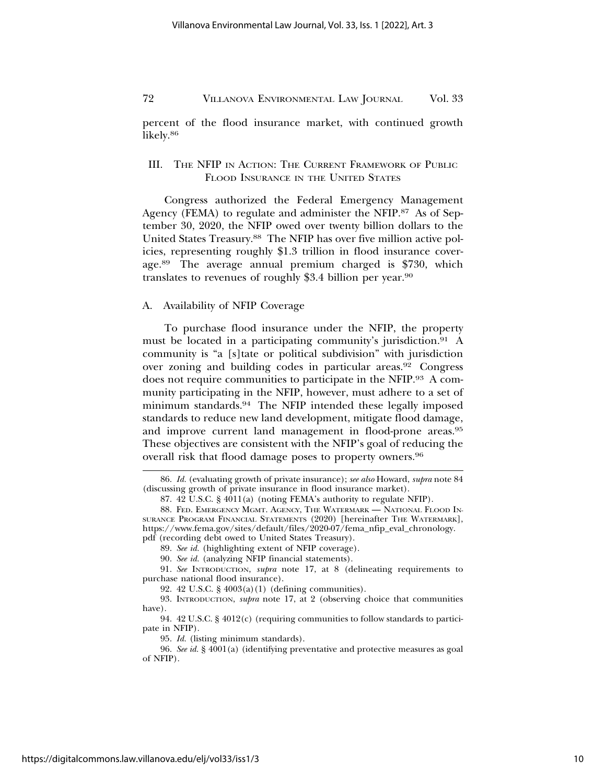percent of the flood insurance market, with continued growth likely.86

## III. THE NFIP IN ACTION: THE CURRENT FRAMEWORK OF PUBLIC FLOOD INSURANCE IN THE UNITED STATES

Congress authorized the Federal Emergency Management Agency (FEMA) to regulate and administer the NFIP.<sup>87</sup> As of September 30, 2020, the NFIP owed over twenty billion dollars to the United States Treasury.88 The NFIP has over five million active policies, representing roughly \$1.3 trillion in flood insurance coverage.89 The average annual premium charged is \$730, which translates to revenues of roughly \$3.4 billion per year.90

## A. Availability of NFIP Coverage

To purchase flood insurance under the NFIP, the property must be located in a participating community's jurisdiction.<sup>91</sup> A community is "a [s]tate or political subdivision" with jurisdiction over zoning and building codes in particular areas.92 Congress does not require communities to participate in the NFIP.93 A community participating in the NFIP, however, must adhere to a set of minimum standards.94 The NFIP intended these legally imposed standards to reduce new land development, mitigate flood damage, and improve current land management in flood-prone areas.95 These objectives are consistent with the NFIP's goal of reducing the overall risk that flood damage poses to property owners.96

<sup>86.</sup> *Id.* (evaluating growth of private insurance); *see also* Howard, *supra* note 84 (discussing growth of private insurance in flood insurance market).

<sup>87. 42</sup> U.S.C. § 4011(a) (noting FEMA's authority to regulate NFIP).

<sup>88.</sup> FED. EMERGENCY MGMT. AGENCY, THE WATERMARK — NATIONAL FLOOD IN-SURANCE PROGRAM FINANCIAL STATEMENTS (2020) [hereinafter THE WATERMARK], https://www.fema.gov/sites/default/files/2020-07/fema\_nfip\_eval\_chronology. pdf (recording debt owed to United States Treasury).

<sup>89.</sup> *See id.* (highlighting extent of NFIP coverage).

<sup>90.</sup> *See id.* (analyzing NFIP financial statements).

<sup>91.</sup> *See* INTRODUCTION, *supra* note 17, at 8 (delineating requirements to purchase national flood insurance).

<sup>92. 42</sup> U.S.C. § 4003(a)(1) (defining communities).

<sup>93.</sup> INTRODUCTION, *supra* note 17, at 2 (observing choice that communities have).

<sup>94. 42</sup> U.S.C. § 4012(c) (requiring communities to follow standards to participate in NFIP).

<sup>95.</sup> *Id.* (listing minimum standards).

<sup>96.</sup> *See id.* § 4001(a) (identifying preventative and protective measures as goal of NFIP).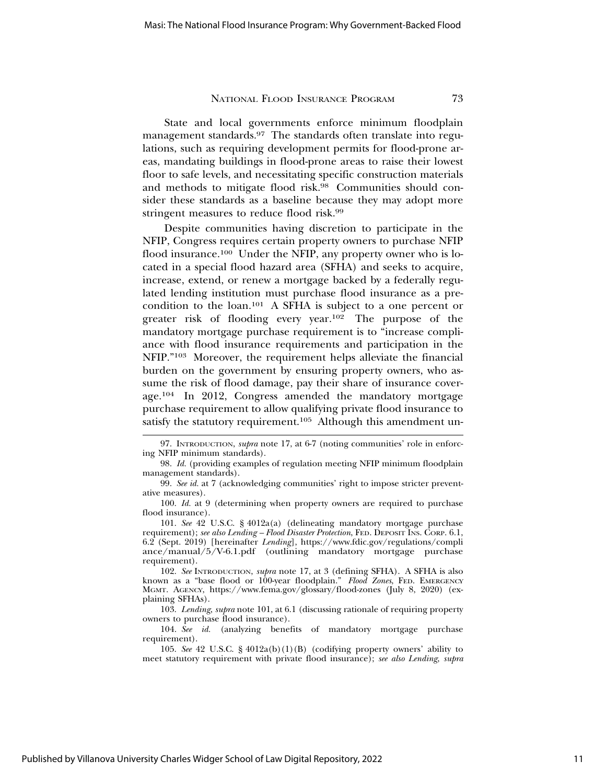State and local governments enforce minimum floodplain management standards.97 The standards often translate into regulations, such as requiring development permits for flood-prone areas, mandating buildings in flood-prone areas to raise their lowest floor to safe levels, and necessitating specific construction materials and methods to mitigate flood risk.98 Communities should consider these standards as a baseline because they may adopt more stringent measures to reduce flood risk.<sup>99</sup>

Despite communities having discretion to participate in the NFIP, Congress requires certain property owners to purchase NFIP flood insurance.<sup>100</sup> Under the NFIP, any property owner who is located in a special flood hazard area (SFHA) and seeks to acquire, increase, extend, or renew a mortgage backed by a federally regulated lending institution must purchase flood insurance as a precondition to the loan.101 A SFHA is subject to a one percent or greater risk of flooding every year.102 The purpose of the mandatory mortgage purchase requirement is to "increase compliance with flood insurance requirements and participation in the NFIP."103 Moreover, the requirement helps alleviate the financial burden on the government by ensuring property owners, who assume the risk of flood damage, pay their share of insurance coverage.104 In 2012, Congress amended the mandatory mortgage purchase requirement to allow qualifying private flood insurance to satisfy the statutory requirement.<sup>105</sup> Although this amendment un-

<sup>97.</sup> INTRODUCTION, *supra* note 17, at 6-7 (noting communities' role in enforcing NFIP minimum standards).

<sup>98.</sup> *Id.* (providing examples of regulation meeting NFIP minimum floodplain management standards).

<sup>99.</sup> *See id.* at 7 (acknowledging communities' right to impose stricter preventative measures).

<sup>100.</sup> *Id.* at 9 (determining when property owners are required to purchase flood insurance).

<sup>101.</sup> *See* 42 U.S.C. § 4012a(a) (delineating mandatory mortgage purchase requirement); *see also Lending – Flood Disaster Protection*, FED. DEPOSIT INS. CORP. 6.1, 6.2 (Sept. 2019) [hereinafter *Lending*], https://www.fdic.gov/regulations/compli ance/manual/5/V-6.1.pdf (outlining mandatory mortgage purchase requirement).

<sup>102.</sup> *See* INTRODUCTION, *supra* note 17, at 3 (defining SFHA). A SFHA is also known as a "base flood or 100-year floodplain." *Flood Zones*, FED. EMERGENCY MGMT. AGENCY, https://www.fema.gov/glossary/flood-zones (July 8, 2020) (explaining SFHAs).

<sup>103.</sup> *Lending*, *supra* note 101, at 6.1 (discussing rationale of requiring property owners to purchase flood insurance).

<sup>104.</sup> *See id.* (analyzing benefits of mandatory mortgage purchase requirement).

<sup>105.</sup> *See* 42 U.S.C. § 4012a(b)(1)(B) (codifying property owners' ability to meet statutory requirement with private flood insurance); *see also Lending*, *supra*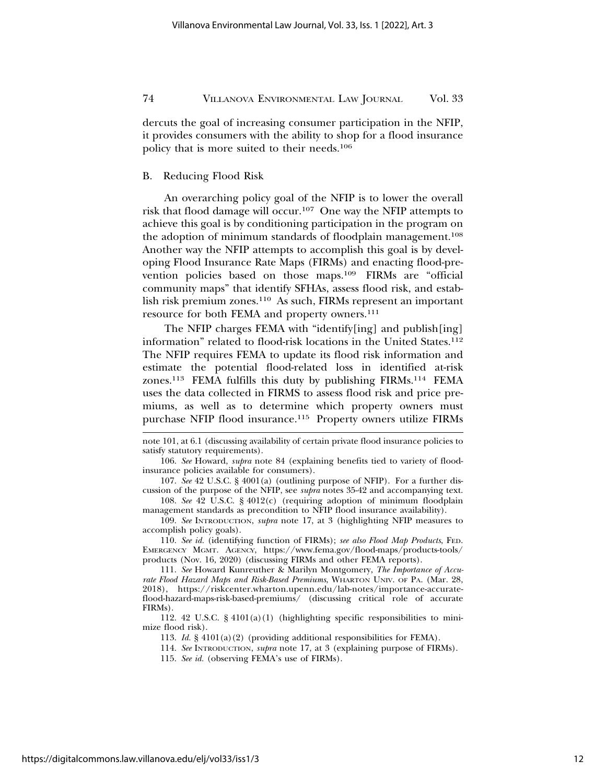dercuts the goal of increasing consumer participation in the NFIP, it provides consumers with the ability to shop for a flood insurance policy that is more suited to their needs.106

#### B. Reducing Flood Risk

An overarching policy goal of the NFIP is to lower the overall risk that flood damage will occur.107 One way the NFIP attempts to achieve this goal is by conditioning participation in the program on the adoption of minimum standards of floodplain management.108 Another way the NFIP attempts to accomplish this goal is by developing Flood Insurance Rate Maps (FIRMs) and enacting flood-prevention policies based on those maps.109 FIRMs are "official community maps" that identify SFHAs, assess flood risk, and establish risk premium zones.110 As such, FIRMs represent an important resource for both FEMA and property owners.111

The NFIP charges FEMA with "identify[ing] and publish[ing] information" related to flood-risk locations in the United States.112 The NFIP requires FEMA to update its flood risk information and estimate the potential flood-related loss in identified at-risk zones.113 FEMA fulfills this duty by publishing FIRMs.114 FEMA uses the data collected in FIRMS to assess flood risk and price premiums, as well as to determine which property owners must purchase NFIP flood insurance.115 Property owners utilize FIRMs

107. *See* 42 U.S.C. § 4001(a) (outlining purpose of NFIP). For a further discussion of the purpose of the NFIP, see *supra* notes 35-42 and accompanying text.

108. *See* 42 U.S.C. § 4012(c) (requiring adoption of minimum floodplain management standards as precondition to NFIP flood insurance availability).

109. *See* INTRODUCTION, *supra* note 17, at 3 (highlighting NFIP measures to accomplish policy goals).

110. *See id.* (identifying function of FIRMs); *see also Flood Map Products*, FED. EMERGENCY MGMT. AGENCY, https://www.fema.gov/flood-maps/products-tools/ products (Nov. 16, 2020) (discussing FIRMs and other FEMA reports).

112. 42 U.S.C.  $\S$  4101(a)(1) (highlighting specific responsibilities to minimize flood risk).

113. *Id.* § 4101(a)(2) (providing additional responsibilities for FEMA).

114. *See* INTRODUCTION, *supra* note 17, at 3 (explaining purpose of FIRMs).

note 101, at 6.1 (discussing availability of certain private flood insurance policies to satisfy statutory requirements).

<sup>106.</sup> *See* Howard, *supra* note 84 (explaining benefits tied to variety of floodinsurance policies available for consumers).

<sup>111.</sup> *See* Howard Kunreuther & Marilyn Montgomery, *The Importance of Accurate Flood Hazard Maps and Risk-Based Premiums*, WHARTON UNIV. OF PA. (Mar. 28, 2018), https://riskcenter.wharton.upenn.edu/lab-notes/importance-accurateflood-hazard-maps-risk-based-premiums/ (discussing critical role of accurate FIRMs).

<sup>115.</sup> *See id.* (observing FEMA's use of FIRMs).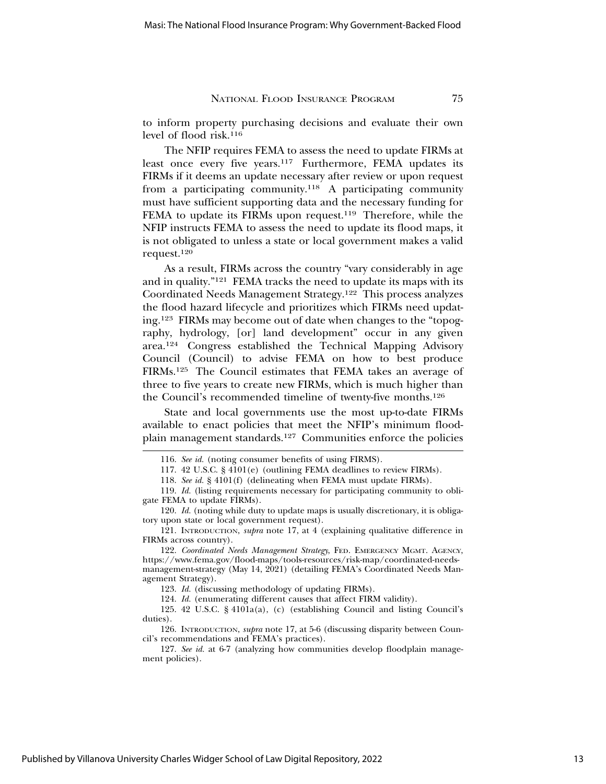to inform property purchasing decisions and evaluate their own level of flood risk.116

The NFIP requires FEMA to assess the need to update FIRMs at least once every five years.117 Furthermore, FEMA updates its FIRMs if it deems an update necessary after review or upon request from a participating community.118 A participating community must have sufficient supporting data and the necessary funding for FEMA to update its FIRMs upon request.<sup>119</sup> Therefore, while the NFIP instructs FEMA to assess the need to update its flood maps, it is not obligated to unless a state or local government makes a valid request.120

As a result, FIRMs across the country "vary considerably in age and in quality."121 FEMA tracks the need to update its maps with its Coordinated Needs Management Strategy.122 This process analyzes the flood hazard lifecycle and prioritizes which FIRMs need updating.123 FIRMs may become out of date when changes to the "topography, hydrology, [or] land development" occur in any given area.124 Congress established the Technical Mapping Advisory Council (Council) to advise FEMA on how to best produce FIRMs.125 The Council estimates that FEMA takes an average of three to five years to create new FIRMs, which is much higher than the Council's recommended timeline of twenty-five months.126

State and local governments use the most up-to-date FIRMs available to enact policies that meet the NFIP's minimum floodplain management standards.127 Communities enforce the policies

<sup>116.</sup> *See id.* (noting consumer benefits of using FIRMS).

<sup>117. 42</sup> U.S.C. § 4101(e) (outlining FEMA deadlines to review FIRMs).

<sup>118.</sup> *See id.* § 4101(f) (delineating when FEMA must update FIRMs).

<sup>119.</sup> *Id.* (listing requirements necessary for participating community to obligate FEMA to update FIRMs).

<sup>120.</sup> *Id.* (noting while duty to update maps is usually discretionary, it is obligatory upon state or local government request).

<sup>121.</sup> INTRODUCTION, *supra* note 17, at 4 (explaining qualitative difference in FIRMs across country).

<sup>122.</sup> *Coordinated Needs Management Strategy*, FED. EMERGENCY MGMT. AGENCY, https://www.fema.gov/flood-maps/tools-resources/risk-map/coordinated-needsmanagement-strategy (May 14, 2021) (detailing FEMA's Coordinated Needs Management Strategy).

<sup>123.</sup> *Id.* (discussing methodology of updating FIRMs).

<sup>124.</sup> *Id.* (enumerating different causes that affect FIRM validity).

<sup>125. 42</sup> U.S.C. § 4101a(a), (c) (establishing Council and listing Council's duties).

<sup>126.</sup> INTRODUCTION, *supra* note 17, at 5-6 (discussing disparity between Council's recommendations and FEMA's practices).

<sup>127.</sup> *See id.* at 6-7 (analyzing how communities develop floodplain management policies).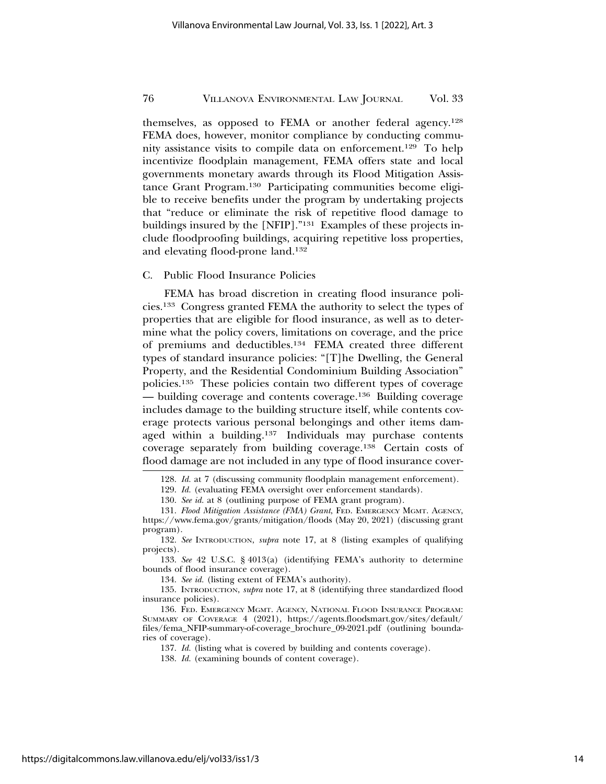themselves, as opposed to FEMA or another federal agency.128 FEMA does, however, monitor compliance by conducting community assistance visits to compile data on enforcement.129 To help incentivize floodplain management, FEMA offers state and local governments monetary awards through its Flood Mitigation Assistance Grant Program.130 Participating communities become eligible to receive benefits under the program by undertaking projects that "reduce or eliminate the risk of repetitive flood damage to buildings insured by the [NFIP]."131 Examples of these projects include floodproofing buildings, acquiring repetitive loss properties, and elevating flood-prone land.132

#### C. Public Flood Insurance Policies

FEMA has broad discretion in creating flood insurance policies.133 Congress granted FEMA the authority to select the types of properties that are eligible for flood insurance, as well as to determine what the policy covers, limitations on coverage, and the price of premiums and deductibles.134 FEMA created three different types of standard insurance policies: "[T]he Dwelling, the General Property, and the Residential Condominium Building Association" policies.135 These policies contain two different types of coverage — building coverage and contents coverage.136 Building coverage includes damage to the building structure itself, while contents coverage protects various personal belongings and other items damaged within a building.137 Individuals may purchase contents coverage separately from building coverage.138 Certain costs of flood damage are not included in any type of flood insurance cover-

134. *See id.* (listing extent of FEMA's authority).

135. INTRODUCTION, *supra* note 17, at 8 (identifying three standardized flood insurance policies).

<sup>128.</sup> *Id.* at 7 (discussing community floodplain management enforcement).

<sup>129.</sup> *Id.* (evaluating FEMA oversight over enforcement standards).

<sup>130.</sup> *See id.* at 8 (outlining purpose of FEMA grant program).

<sup>131.</sup> *Flood Mitigation Assistance (FMA) Grant*, FED. EMERGENCY MGMT. AGENCY, https://www.fema.gov/grants/mitigation/floods (May 20, 2021) (discussing grant program).

<sup>132.</sup> *See* INTRODUCTION, *supra* note 17, at 8 (listing examples of qualifying projects).

<sup>133.</sup> *See* 42 U.S.C. § 4013(a) (identifying FEMA's authority to determine bounds of flood insurance coverage).

<sup>136.</sup> FED. EMERGENCY MGMT. AGENCY, NATIONAL FLOOD INSURANCE PROGRAM: SUMMARY OF COVERAGE 4 (2021), https://agents.floodsmart.gov/sites/default/ files/fema\_NFIP-summary-of-coverage\_brochure\_09-2021.pdf (outlining boundaries of coverage).

<sup>137.</sup> *Id.* (listing what is covered by building and contents coverage).

<sup>138.</sup> *Id.* (examining bounds of content coverage).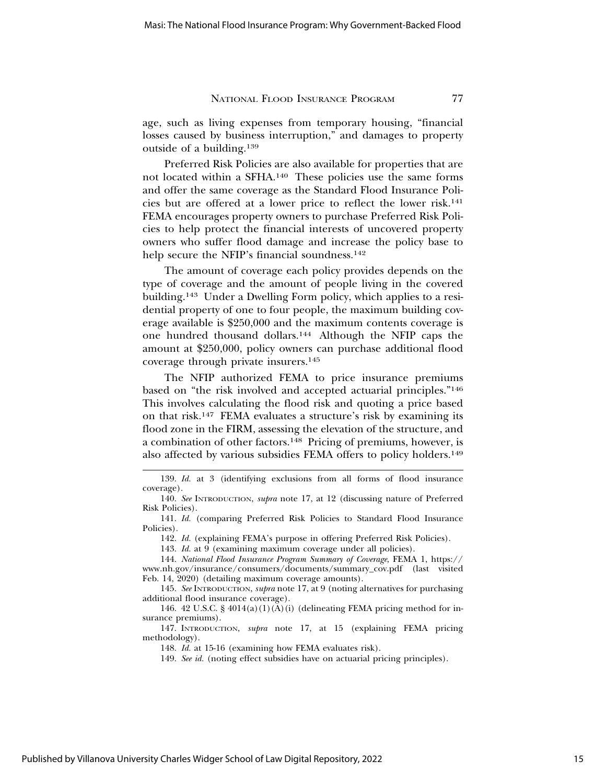age, such as living expenses from temporary housing, "financial losses caused by business interruption," and damages to property outside of a building.139

Preferred Risk Policies are also available for properties that are not located within a SFHA.140 These policies use the same forms and offer the same coverage as the Standard Flood Insurance Policies but are offered at a lower price to reflect the lower risk.141 FEMA encourages property owners to purchase Preferred Risk Policies to help protect the financial interests of uncovered property owners who suffer flood damage and increase the policy base to help secure the NFIP's financial soundness.<sup>142</sup>

The amount of coverage each policy provides depends on the type of coverage and the amount of people living in the covered building.143 Under a Dwelling Form policy, which applies to a residential property of one to four people, the maximum building coverage available is \$250,000 and the maximum contents coverage is one hundred thousand dollars.144 Although the NFIP caps the amount at \$250,000, policy owners can purchase additional flood coverage through private insurers.145

The NFIP authorized FEMA to price insurance premiums based on "the risk involved and accepted actuarial principles."146 This involves calculating the flood risk and quoting a price based on that risk.147 FEMA evaluates a structure's risk by examining its flood zone in the FIRM, assessing the elevation of the structure, and a combination of other factors.148 Pricing of premiums, however, is also affected by various subsidies FEMA offers to policy holders.149

142. *Id.* (explaining FEMA's purpose in offering Preferred Risk Policies).

143. *Id.* at 9 (examining maximum coverage under all policies).

145. *See* INTRODUCTION, *supra* note 17, at 9 (noting alternatives for purchasing additional flood insurance coverage).

146. 42 U.S.C. § 4014(a)(1)(A)(i) (delineating FEMA pricing method for insurance premiums).

147. INTRODUCTION, *supra* note 17, at 15 (explaining FEMA pricing methodology).

148. *Id.* at 15-16 (examining how FEMA evaluates risk).

149. *See id.* (noting effect subsidies have on actuarial pricing principles).

<sup>139.</sup> *Id.* at 3 (identifying exclusions from all forms of flood insurance coverage).

<sup>140.</sup> *See* INTRODUCTION, *supra* note 17, at 12 (discussing nature of Preferred Risk Policies).

<sup>141.</sup> *Id.* (comparing Preferred Risk Policies to Standard Flood Insurance Policies).

<sup>144.</sup> *National Flood Insurance Program Summary of Coverage*, FEMA 1, https:// www.nh.gov/insurance/consumers/documents/summary\_cov.pdf (last visited Feb. 14, 2020) (detailing maximum coverage amounts).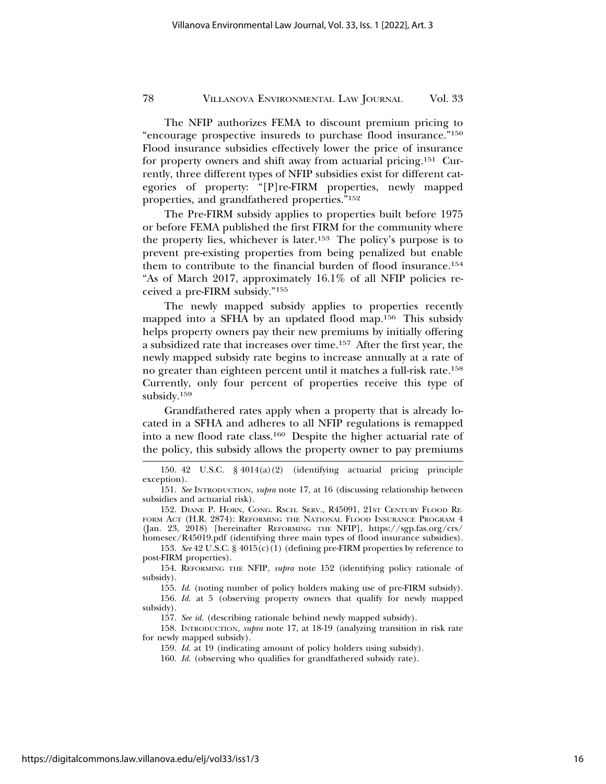The NFIP authorizes FEMA to discount premium pricing to "encourage prospective insureds to purchase flood insurance."150 Flood insurance subsidies effectively lower the price of insurance for property owners and shift away from actuarial pricing.151 Currently, three different types of NFIP subsidies exist for different categories of property: "[P]re-FIRM properties, newly mapped properties, and grandfathered properties."152

The Pre-FIRM subsidy applies to properties built before 1975 or before FEMA published the first FIRM for the community where the property lies, whichever is later.153 The policy's purpose is to prevent pre-existing properties from being penalized but enable them to contribute to the financial burden of flood insurance.154 "As of March 2017, approximately 16.1% of all NFIP policies received a pre-FIRM subsidy."155

The newly mapped subsidy applies to properties recently mapped into a SFHA by an updated flood map.156 This subsidy helps property owners pay their new premiums by initially offering a subsidized rate that increases over time.157 After the first year, the newly mapped subsidy rate begins to increase annually at a rate of no greater than eighteen percent until it matches a full-risk rate.158 Currently, only four percent of properties receive this type of subsidy.159

Grandfathered rates apply when a property that is already located in a SFHA and adheres to all NFIP regulations is remapped into a new flood rate class.160 Despite the higher actuarial rate of the policy, this subsidy allows the property owner to pay premiums

153. *See* 42 U.S.C. § 4015(c)(1) (defining pre-FIRM properties by reference to post-FIRM properties).

154. REFORMING THE NFIP, *supra* note 152 (identifying policy rationale of subsidy).

subsidy).

157. *See id.* (describing rationale behind newly mapped subsidy).

158. INTRODUCTION, *supra* note 17, at 18-19 (analyzing transition in risk rate for newly mapped subsidy).

160. *Id.* (observing who qualifies for grandfathered subsidy rate).

<sup>150. 42</sup> U.S.C. § 4014(a)(2) (identifying actuarial pricing principle exception).

<sup>151.</sup> *See* INTRODUCTION, *supra* note 17, at 16 (discussing relationship between subsidies and actuarial risk).

<sup>152.</sup> DIANE P. HORN, CONG. RSCH. SERV., R45091, 21ST CENTURY FLOOD RE-FORM ACT (H.R. 2874): REFORMING THE NATIONAL FLOOD INSURANCE PROGRAM 4 (Jan. 23, 2018) [hereinafter REFORMING THE NFIP], https://sgp.fas.org/crs/ homesec/R45019.pdf (identifying three main types of flood insurance subsidies).

<sup>155.</sup> *Id.* (noting number of policy holders making use of pre-FIRM subsidy). 156. *Id.* at 5 (observing property owners that qualify for newly mapped

<sup>159.</sup> *Id.* at 19 (indicating amount of policy holders using subsidy).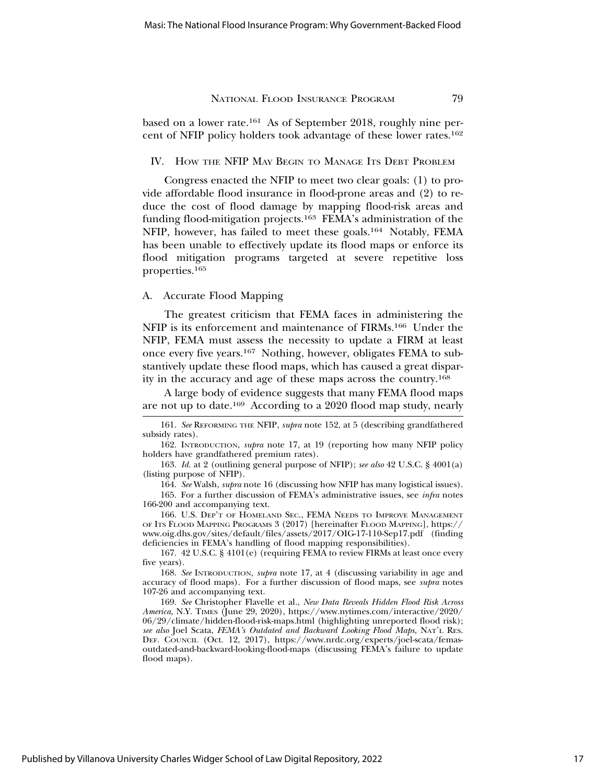based on a lower rate.161 As of September 2018, roughly nine percent of NFIP policy holders took advantage of these lower rates.162

#### IV. HOW THE NFIP MAY BEGIN TO MANAGE ITS DEBT PROBLEM

Congress enacted the NFIP to meet two clear goals: (1) to provide affordable flood insurance in flood-prone areas and (2) to reduce the cost of flood damage by mapping flood-risk areas and funding flood-mitigation projects.163 FEMA's administration of the NFIP, however, has failed to meet these goals.164 Notably, FEMA has been unable to effectively update its flood maps or enforce its flood mitigation programs targeted at severe repetitive loss properties.165

## A. Accurate Flood Mapping

The greatest criticism that FEMA faces in administering the NFIP is its enforcement and maintenance of FIRMs.166 Under the NFIP, FEMA must assess the necessity to update a FIRM at least once every five years.167 Nothing, however, obligates FEMA to substantively update these flood maps, which has caused a great disparity in the accuracy and age of these maps across the country.168

A large body of evidence suggests that many FEMA flood maps are not up to date.169 According to a 2020 flood map study, nearly

162. INTRODUCTION, *supra* note 17, at 19 (reporting how many NFIP policy holders have grandfathered premium rates).

163. *Id.* at 2 (outlining general purpose of NFIP); *see also* 42 U.S.C. § 4001(a) (listing purpose of NFIP).

167. 42 U.S.C. § 4101(e) (requiring FEMA to review FIRMs at least once every five years).

168. *See* INTRODUCTION, *supra* note 17, at 4 (discussing variability in age and accuracy of flood maps). For a further discussion of flood maps, see *supra* notes 107-26 and accompanying text.

169. *See* Christopher Flavelle et al., *New Data Reveals Hidden Flood Risk Across America*, N.Y. TIMES (June 29, 2020), https://www.nytimes.com/interactive/2020/ 06/29/climate/hidden-flood-risk-maps.html (highlighting unreported flood risk); *see also* Joel Scata, *FEMA's Outdated and Backward Looking Flood Maps*, NAT'L RES. DEF. COUNCIL (Oct. 12, 2017), https://www.nrdc.org/experts/joel-scata/femasoutdated-and-backward-looking-flood-maps (discussing FEMA's failure to update flood maps).

<sup>161.</sup> *See* REFORMING THE NFIP, *supra* note 152, at 5 (describing grandfathered subsidy rates).

<sup>164.</sup> *See* Walsh, *supra* note 16 (discussing how NFIP has many logistical issues). 165. For a further discussion of FEMA's administrative issues, see *infra* notes

<sup>166-200</sup> and accompanying text. 166. U.S. DEP'T OF HOMELAND SEC., FEMA NEEDS TO IMPROVE MANAGEMENT OF ITS FLOOD MAPPING PROGRAMS 3 (2017) [hereinafter FLOOD MAPPING], https:// www.oig.dhs.gov/sites/default/files/assets/2017/OIG-17-110-Sep17.pdf (finding deficiencies in FEMA's handling of flood mapping responsibilities).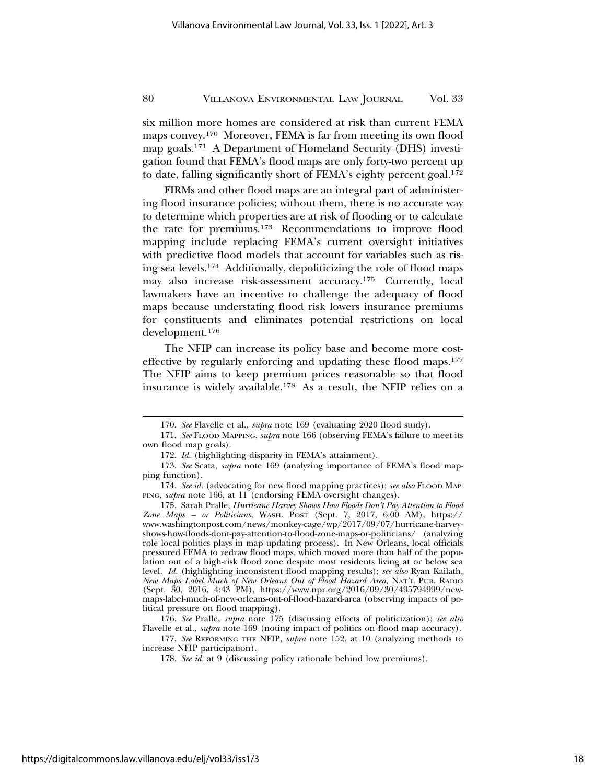six million more homes are considered at risk than current FEMA maps convey.170 Moreover, FEMA is far from meeting its own flood map goals.171 A Department of Homeland Security (DHS) investigation found that FEMA's flood maps are only forty-two percent up to date, falling significantly short of FEMA's eighty percent goal.172

FIRMs and other flood maps are an integral part of administering flood insurance policies; without them, there is no accurate way to determine which properties are at risk of flooding or to calculate the rate for premiums.173 Recommendations to improve flood mapping include replacing FEMA's current oversight initiatives with predictive flood models that account for variables such as rising sea levels.174 Additionally, depoliticizing the role of flood maps may also increase risk-assessment accuracy.175 Currently, local lawmakers have an incentive to challenge the adequacy of flood maps because understating flood risk lowers insurance premiums for constituents and eliminates potential restrictions on local development.176

The NFIP can increase its policy base and become more costeffective by regularly enforcing and updating these flood maps.177 The NFIP aims to keep premium prices reasonable so that flood insurance is widely available.178 As a result, the NFIP relies on a

177. *See* REFORMING THE NFIP, *supra* note 152, at 10 (analyzing methods to increase NFIP participation).

<sup>170.</sup> *See* Flavelle et al., *supra* note 169 (evaluating 2020 flood study).

<sup>171.</sup> *See* FLOOD MAPPING, *supra* note 166 (observing FEMA's failure to meet its own flood map goals).

<sup>172.</sup> *Id.* (highlighting disparity in FEMA's attainment).

<sup>173.</sup> *See* Scata, *supra* note 169 (analyzing importance of FEMA's flood mapping function).

<sup>174.</sup> *See id.* (advocating for new flood mapping practices); *see also* FLOOD MAP-PING, *supra* note 166, at 11 (endorsing FEMA oversight changes).

<sup>175.</sup> Sarah Pralle, *Hurricane Harvey Shows How Floods Don't Pay Attention to Flood Zone Maps – or Politicians*, WASH. POST (Sept. 7, 2017, 6:00 AM), https:// www.washingtonpost.com/news/monkey-cage/wp/2017/09/07/hurricane-harveyshows-how-floods-dont-pay-attention-to-flood-zone-maps-or-politicians/ (analyzing role local politics plays in map updating process). In New Orleans, local officials pressured FEMA to redraw flood maps, which moved more than half of the population out of a high-risk flood zone despite most residents living at or below sea level. *Id.* (highlighting inconsistent flood mapping results); *see also* Ryan Kailath, *New Maps Label Much of New Orleans Out of Flood Hazard Area*, NAT'L PUB. RADIO (Sept. 30, 2016, 4:43 PM), https://www.npr.org/2016/09/30/495794999/newmaps-label-much-of-new-orleans-out-of-flood-hazard-area (observing impacts of political pressure on flood mapping).

<sup>176.</sup> *See* Pralle, *supra* note 175 (discussing effects of politicization); *see also* Flavelle et al., *supra* note 169 (noting impact of politics on flood map accuracy).

<sup>178.</sup> *See id.* at 9 (discussing policy rationale behind low premiums).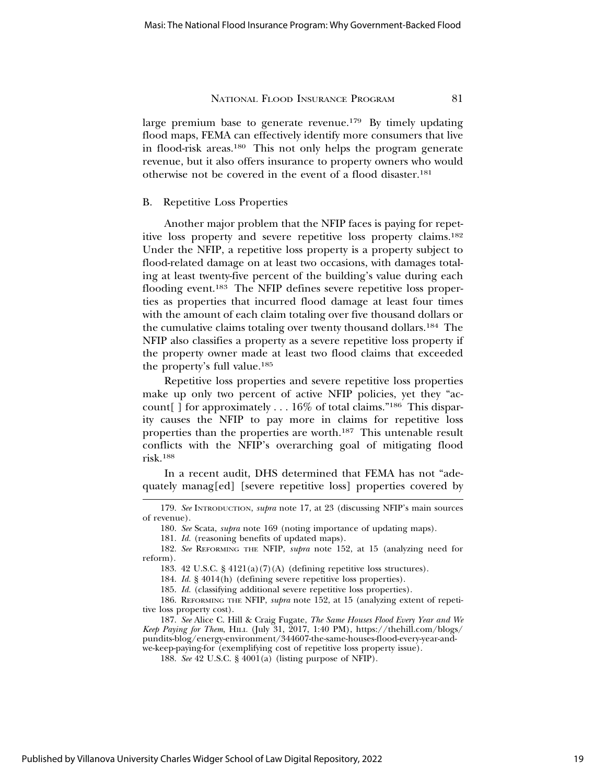large premium base to generate revenue.<sup>179</sup> By timely updating flood maps, FEMA can effectively identify more consumers that live in flood-risk areas.180 This not only helps the program generate revenue, but it also offers insurance to property owners who would otherwise not be covered in the event of a flood disaster.181

#### B. Repetitive Loss Properties

Another major problem that the NFIP faces is paying for repetitive loss property and severe repetitive loss property claims.182 Under the NFIP, a repetitive loss property is a property subject to flood-related damage on at least two occasions, with damages totaling at least twenty-five percent of the building's value during each flooding event.183 The NFIP defines severe repetitive loss properties as properties that incurred flood damage at least four times with the amount of each claim totaling over five thousand dollars or the cumulative claims totaling over twenty thousand dollars.184 The NFIP also classifies a property as a severe repetitive loss property if the property owner made at least two flood claims that exceeded the property's full value.185

Repetitive loss properties and severe repetitive loss properties make up only two percent of active NFIP policies, yet they "account[ ] for approximately . . . 16% of total claims."186 This disparity causes the NFIP to pay more in claims for repetitive loss properties than the properties are worth.187 This untenable result conflicts with the NFIP's overarching goal of mitigating flood risk.188

In a recent audit, DHS determined that FEMA has not "adequately manag[ed] [severe repetitive loss] properties covered by

<sup>179.</sup> *See* INTRODUCTION, *supra* note 17, at 23 (discussing NFIP's main sources of revenue).

<sup>180.</sup> *See* Scata, *supra* note 169 (noting importance of updating maps).

<sup>181.</sup> *Id.* (reasoning benefits of updated maps).

<sup>182.</sup> *See* REFORMING THE NFIP, *supra* note 152, at 15 (analyzing need for reform).

<sup>183. 42</sup> U.S.C. § 4121(a)(7)(A) (defining repetitive loss structures).

<sup>184.</sup> *Id.* § 4014(h) (defining severe repetitive loss properties).

<sup>185.</sup> *Id.* (classifying additional severe repetitive loss properties).

<sup>186.</sup> REFORMING THE NFIP, *supra* note 152, at 15 (analyzing extent of repetitive loss property cost).

<sup>187.</sup> *See* Alice C. Hill & Craig Fugate, *The Same Houses Flood Every Year and We Keep Paying for Them*, HILL (July 31, 2017, 1:40 PM), https://thehill.com/blogs/ pundits-blog/energy-environment/344607-the-same-houses-flood-every-year-andwe-keep-paying-for (exemplifying cost of repetitive loss property issue).

<sup>188.</sup> *See* 42 U.S.C. § 4001(a) (listing purpose of NFIP).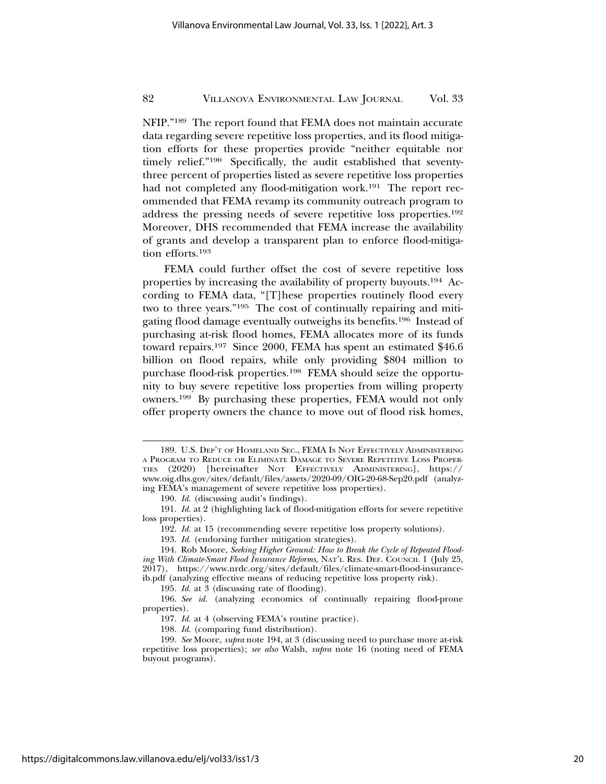NFIP."189 The report found that FEMA does not maintain accurate data regarding severe repetitive loss properties, and its flood mitigation efforts for these properties provide "neither equitable nor timely relief."190 Specifically, the audit established that seventythree percent of properties listed as severe repetitive loss properties had not completed any flood-mitigation work.<sup>191</sup> The report recommended that FEMA revamp its community outreach program to address the pressing needs of severe repetitive loss properties.192 Moreover, DHS recommended that FEMA increase the availability of grants and develop a transparent plan to enforce flood-mitigation efforts.193

FEMA could further offset the cost of severe repetitive loss properties by increasing the availability of property buyouts.194 According to FEMA data, "[T]hese properties routinely flood every two to three years."195 The cost of continually repairing and mitigating flood damage eventually outweighs its benefits.196 Instead of purchasing at-risk flood homes, FEMA allocates more of its funds toward repairs.197 Since 2000, FEMA has spent an estimated \$46.6 billion on flood repairs, while only providing \$804 million to purchase flood-risk properties.198 FEMA should seize the opportunity to buy severe repetitive loss properties from willing property owners.199 By purchasing these properties, FEMA would not only offer property owners the chance to move out of flood risk homes,

<sup>189.</sup> U.S. DEP'T OF HOMELAND SEC., FEMA IS NOT EFFECTIVELY ADMINISTERING A PROGRAM TO REDUCE OR ELIMINATE DAMAGE TO SEVERE REPETITIVE LOSS PROPER-TIES (2020) [hereinafter NOT EFFECTIVELY ADMINISTERING], https:// www.oig.dhs.gov/sites/default/files/assets/2020-09/OIG-20-68-Sep20.pdf (analyzing FEMA's management of severe repetitive loss properties).

<sup>190.</sup> *Id.* (discussing audit's findings).

<sup>191.</sup> *Id.* at 2 (highlighting lack of flood-mitigation efforts for severe repetitive loss properties).

<sup>192.</sup> *Id.* at 15 (recommending severe repetitive loss property solutions).

<sup>193.</sup> *Id.* (endorsing further mitigation strategies).

<sup>194.</sup> Rob Moore, *Seeking Higher Ground: How to Break the Cycle of Repeated Flooding With Climate-Smart Flood Insurance Reforms*, NAT'L RES. DEF. COUNCIL 1 (July 25, 2017), https://www.nrdc.org/sites/default/files/climate-smart-flood-insuranceib.pdf (analyzing effective means of reducing repetitive loss property risk).

<sup>195.</sup> *Id.* at 3 (discussing rate of flooding).

<sup>196.</sup> *See id.* (analyzing economics of continually repairing flood-prone properties).

<sup>197.</sup> *Id.* at 4 (observing FEMA's routine practice).

<sup>198.</sup> *Id.* (comparing fund distribution).

<sup>199.</sup> *See* Moore, *supra* note 194, at 3 (discussing need to purchase more at-risk repetitive loss properties); *see also* Walsh, *supra* note 16 (noting need of FEMA buyout programs).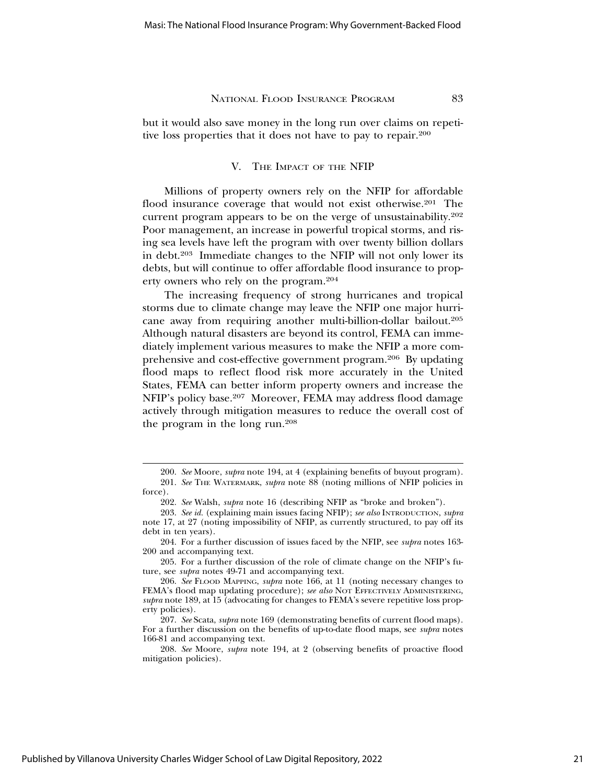but it would also save money in the long run over claims on repetitive loss properties that it does not have to pay to repair.200

#### V. THE IMPACT OF THE NFIP

Millions of property owners rely on the NFIP for affordable flood insurance coverage that would not exist otherwise.<sup>201</sup> The current program appears to be on the verge of unsustainability.202 Poor management, an increase in powerful tropical storms, and rising sea levels have left the program with over twenty billion dollars in debt.203 Immediate changes to the NFIP will not only lower its debts, but will continue to offer affordable flood insurance to property owners who rely on the program.204

The increasing frequency of strong hurricanes and tropical storms due to climate change may leave the NFIP one major hurricane away from requiring another multi-billion-dollar bailout.205 Although natural disasters are beyond its control, FEMA can immediately implement various measures to make the NFIP a more comprehensive and cost-effective government program.206 By updating flood maps to reflect flood risk more accurately in the United States, FEMA can better inform property owners and increase the NFIP's policy base.207 Moreover, FEMA may address flood damage actively through mitigation measures to reduce the overall cost of the program in the long run.208

<sup>200.</sup> *See* Moore, *supra* note 194, at 4 (explaining benefits of buyout program). 201. *See* THE WATERMARK, *supra* note 88 (noting millions of NFIP policies in force).

<sup>202.</sup> *See* Walsh, *supra* note 16 (describing NFIP as "broke and broken").

<sup>203.</sup> *See id.* (explaining main issues facing NFIP); *see also* INTRODUCTION, *supra* note 17, at 27 (noting impossibility of NFIP, as currently structured, to pay off its debt in ten years).

<sup>204.</sup> For a further discussion of issues faced by the NFIP, see *supra* notes 163- 200 and accompanying text.

<sup>205.</sup> For a further discussion of the role of climate change on the NFIP's future, see *supra* notes 49-71 and accompanying text.

<sup>206.</sup> *See* FLOOD MAPPING, *supra* note 166, at 11 (noting necessary changes to FEMA's flood map updating procedure); see also NOT EFFECTIVELY ADMINISTERING, *supra* note 189, at 15 (advocating for changes to FEMA's severe repetitive loss property policies).

<sup>207.</sup> *See* Scata, *supra* note 169 (demonstrating benefits of current flood maps). For a further discussion on the benefits of up-to-date flood maps, see *supra* notes 166-81 and accompanying text.

<sup>208.</sup> *See* Moore, *supra* note 194, at 2 (observing benefits of proactive flood mitigation policies).